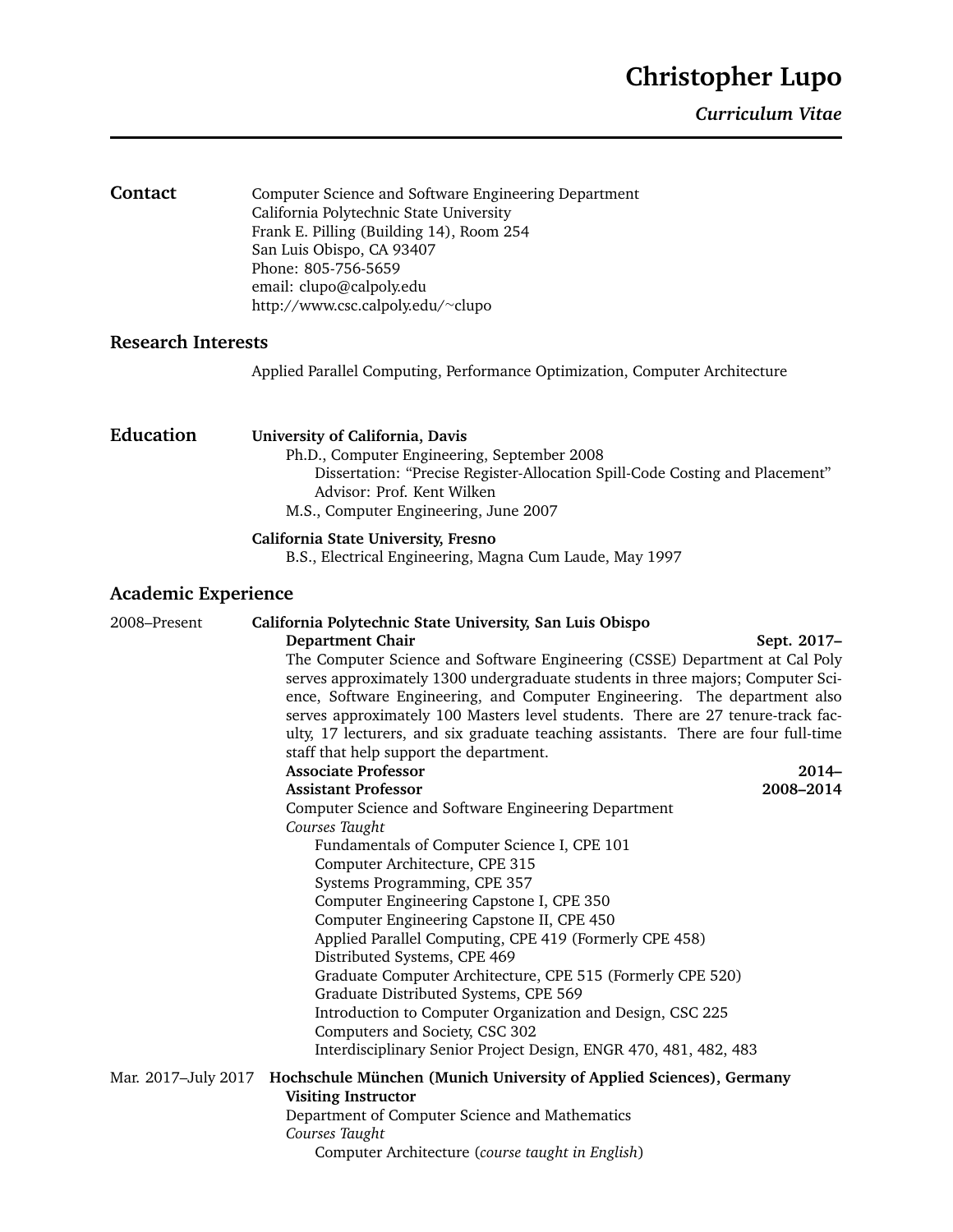*Curriculum Vitae*

| Contact                    | Computer Science and Software Engineering Department<br>California Polytechnic State University<br>Frank E. Pilling (Building 14), Room 254<br>San Luis Obispo, CA 93407<br>Phone: 805-756-5659<br>email: clupo@calpoly.edu<br>http://www.csc.calpoly.edu/~clupo                                                                                                                                                                                                                                                                                                                                                                                                                                                                                                                                                                                                                                                                                                                                                                                                                                                                                                                                                                                                                                                   |
|----------------------------|--------------------------------------------------------------------------------------------------------------------------------------------------------------------------------------------------------------------------------------------------------------------------------------------------------------------------------------------------------------------------------------------------------------------------------------------------------------------------------------------------------------------------------------------------------------------------------------------------------------------------------------------------------------------------------------------------------------------------------------------------------------------------------------------------------------------------------------------------------------------------------------------------------------------------------------------------------------------------------------------------------------------------------------------------------------------------------------------------------------------------------------------------------------------------------------------------------------------------------------------------------------------------------------------------------------------|
| <b>Research Interests</b>  |                                                                                                                                                                                                                                                                                                                                                                                                                                                                                                                                                                                                                                                                                                                                                                                                                                                                                                                                                                                                                                                                                                                                                                                                                                                                                                                    |
|                            | Applied Parallel Computing, Performance Optimization, Computer Architecture                                                                                                                                                                                                                                                                                                                                                                                                                                                                                                                                                                                                                                                                                                                                                                                                                                                                                                                                                                                                                                                                                                                                                                                                                                        |
| <b>Education</b>           | University of California, Davis<br>Ph.D., Computer Engineering, September 2008<br>Dissertation: "Precise Register-Allocation Spill-Code Costing and Placement"<br>Advisor: Prof. Kent Wilken<br>M.S., Computer Engineering, June 2007<br>California State University, Fresno                                                                                                                                                                                                                                                                                                                                                                                                                                                                                                                                                                                                                                                                                                                                                                                                                                                                                                                                                                                                                                       |
|                            | B.S., Electrical Engineering, Magna Cum Laude, May 1997                                                                                                                                                                                                                                                                                                                                                                                                                                                                                                                                                                                                                                                                                                                                                                                                                                                                                                                                                                                                                                                                                                                                                                                                                                                            |
| <b>Academic Experience</b> |                                                                                                                                                                                                                                                                                                                                                                                                                                                                                                                                                                                                                                                                                                                                                                                                                                                                                                                                                                                                                                                                                                                                                                                                                                                                                                                    |
| 2008-Present               | California Polytechnic State University, San Luis Obispo<br><b>Department Chair</b><br>Sept. 2017-<br>The Computer Science and Software Engineering (CSSE) Department at Cal Poly<br>serves approximately 1300 undergraduate students in three majors; Computer Sci-<br>ence, Software Engineering, and Computer Engineering. The department also<br>serves approximately 100 Masters level students. There are 27 tenure-track fac-<br>ulty, 17 lecturers, and six graduate teaching assistants. There are four full-time<br>staff that help support the department.<br><b>Associate Professor</b><br>$2014 -$<br><b>Assistant Professor</b><br>2008-2014<br>Computer Science and Software Engineering Department<br>Courses Taught<br>Fundamentals of Computer Science I, CPE 101<br>Computer Architecture, CPE 315<br>Systems Programming, CPE 357<br>Computer Engineering Capstone I, CPE 350<br>Computer Engineering Capstone II, CPE 450<br>Applied Parallel Computing, CPE 419 (Formerly CPE 458)<br>Distributed Systems, CPE 469<br>Graduate Computer Architecture, CPE 515 (Formerly CPE 520)<br>Graduate Distributed Systems, CPE 569<br>Introduction to Computer Organization and Design, CSC 225<br>Computers and Society, CSC 302<br>Interdisciplinary Senior Project Design, ENGR 470, 481, 482, 483 |
| Mar. 2017-July 2017        | Hochschule München (Munich University of Applied Sciences), Germany<br><b>Visiting Instructor</b><br>Department of Computer Science and Mathematics<br>Courses Taught<br>Computer Architecture (course taught in English)                                                                                                                                                                                                                                                                                                                                                                                                                                                                                                                                                                                                                                                                                                                                                                                                                                                                                                                                                                                                                                                                                          |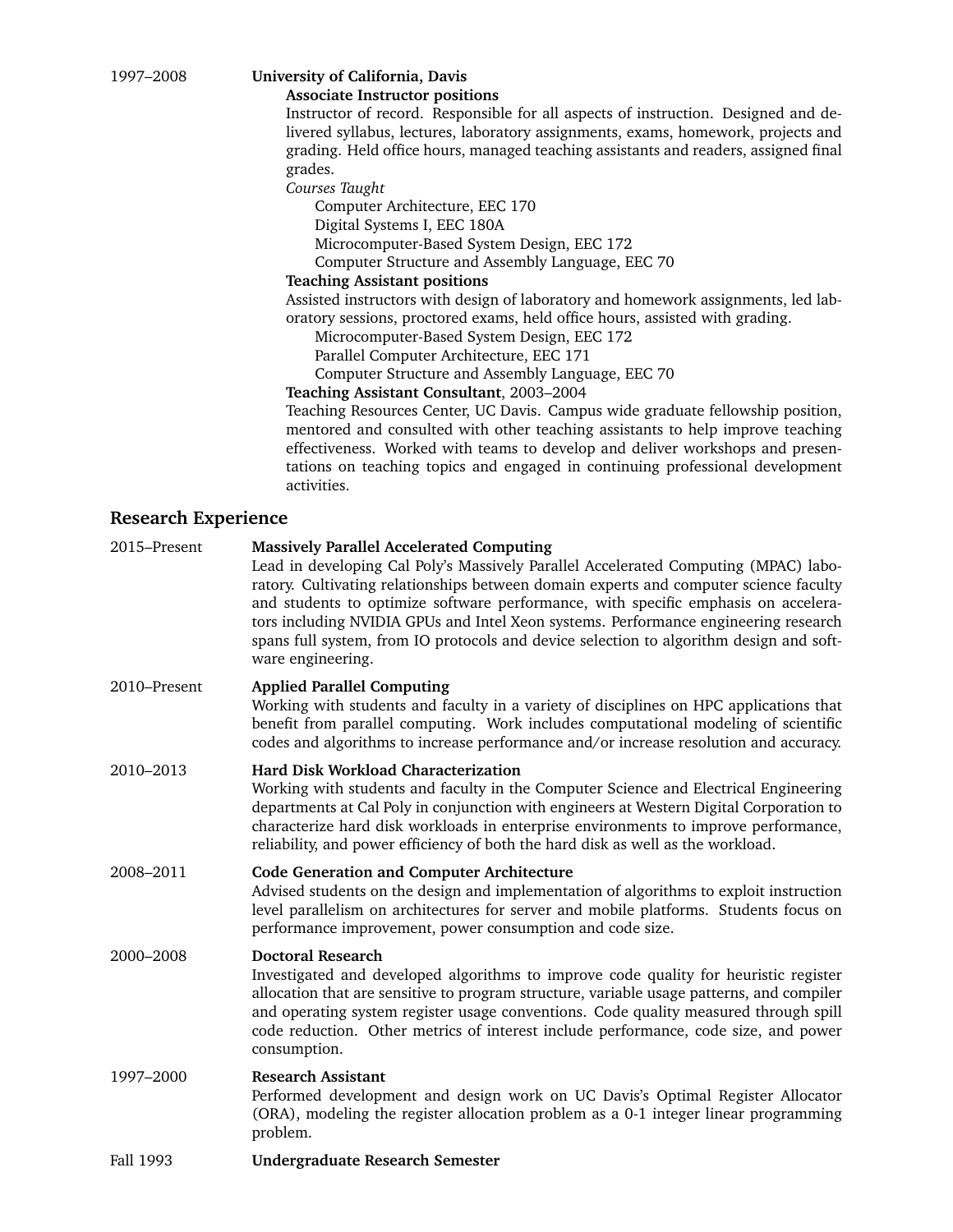# 1997–2008 **University of California, Davis**

#### **Associate Instructor positions**

Instructor of record. Responsible for all aspects of instruction. Designed and delivered syllabus, lectures, laboratory assignments, exams, homework, projects and grading. Held office hours, managed teaching assistants and readers, assigned final grades.

*Courses Taught*

Computer Architecture, EEC 170 Digital Systems I, EEC 180A Microcomputer-Based System Design, EEC 172 Computer Structure and Assembly Language, EEC 70

## **Teaching Assistant positions**

Assisted instructors with design of laboratory and homework assignments, led laboratory sessions, proctored exams, held office hours, assisted with grading.

Microcomputer-Based System Design, EEC 172

Parallel Computer Architecture, EEC 171

Computer Structure and Assembly Language, EEC 70

### **Teaching Assistant Consultant**, 2003–2004

Teaching Resources Center, UC Davis. Campus wide graduate fellowship position, mentored and consulted with other teaching assistants to help improve teaching effectiveness. Worked with teams to develop and deliver workshops and presentations on teaching topics and engaged in continuing professional development activities.

## **Research Experience**

| 2015-Present | <b>Massively Parallel Accelerated Computing</b><br>Lead in developing Cal Poly's Massively Parallel Accelerated Computing (MPAC) labo-<br>ratory. Cultivating relationships between domain experts and computer science faculty<br>and students to optimize software performance, with specific emphasis on accelera-<br>tors including NVIDIA GPUs and Intel Xeon systems. Performance engineering research<br>spans full system, from IO protocols and device selection to algorithm design and soft-<br>ware engineering. |
|--------------|------------------------------------------------------------------------------------------------------------------------------------------------------------------------------------------------------------------------------------------------------------------------------------------------------------------------------------------------------------------------------------------------------------------------------------------------------------------------------------------------------------------------------|
| 2010-Present | <b>Applied Parallel Computing</b><br>Working with students and faculty in a variety of disciplines on HPC applications that<br>benefit from parallel computing. Work includes computational modeling of scientific<br>codes and algorithms to increase performance and/or increase resolution and accuracy.                                                                                                                                                                                                                  |
| 2010-2013    | Hard Disk Workload Characterization<br>Working with students and faculty in the Computer Science and Electrical Engineering<br>departments at Cal Poly in conjunction with engineers at Western Digital Corporation to<br>characterize hard disk workloads in enterprise environments to improve performance,<br>reliability, and power efficiency of both the hard disk as well as the workload.                                                                                                                            |
| 2008-2011    | <b>Code Generation and Computer Architecture</b><br>Advised students on the design and implementation of algorithms to exploit instruction<br>level parallelism on architectures for server and mobile platforms. Students focus on<br>performance improvement, power consumption and code size.                                                                                                                                                                                                                             |
| 2000-2008    | <b>Doctoral Research</b><br>Investigated and developed algorithms to improve code quality for heuristic register<br>allocation that are sensitive to program structure, variable usage patterns, and compiler<br>and operating system register usage conventions. Code quality measured through spill<br>code reduction. Other metrics of interest include performance, code size, and power<br>consumption.                                                                                                                 |
| 1997-2000    | <b>Research Assistant</b><br>Performed development and design work on UC Davis's Optimal Register Allocator<br>(ORA), modeling the register allocation problem as a 0-1 integer linear programming<br>problem.                                                                                                                                                                                                                                                                                                               |
| Fall 1993    | <b>Undergraduate Research Semester</b>                                                                                                                                                                                                                                                                                                                                                                                                                                                                                       |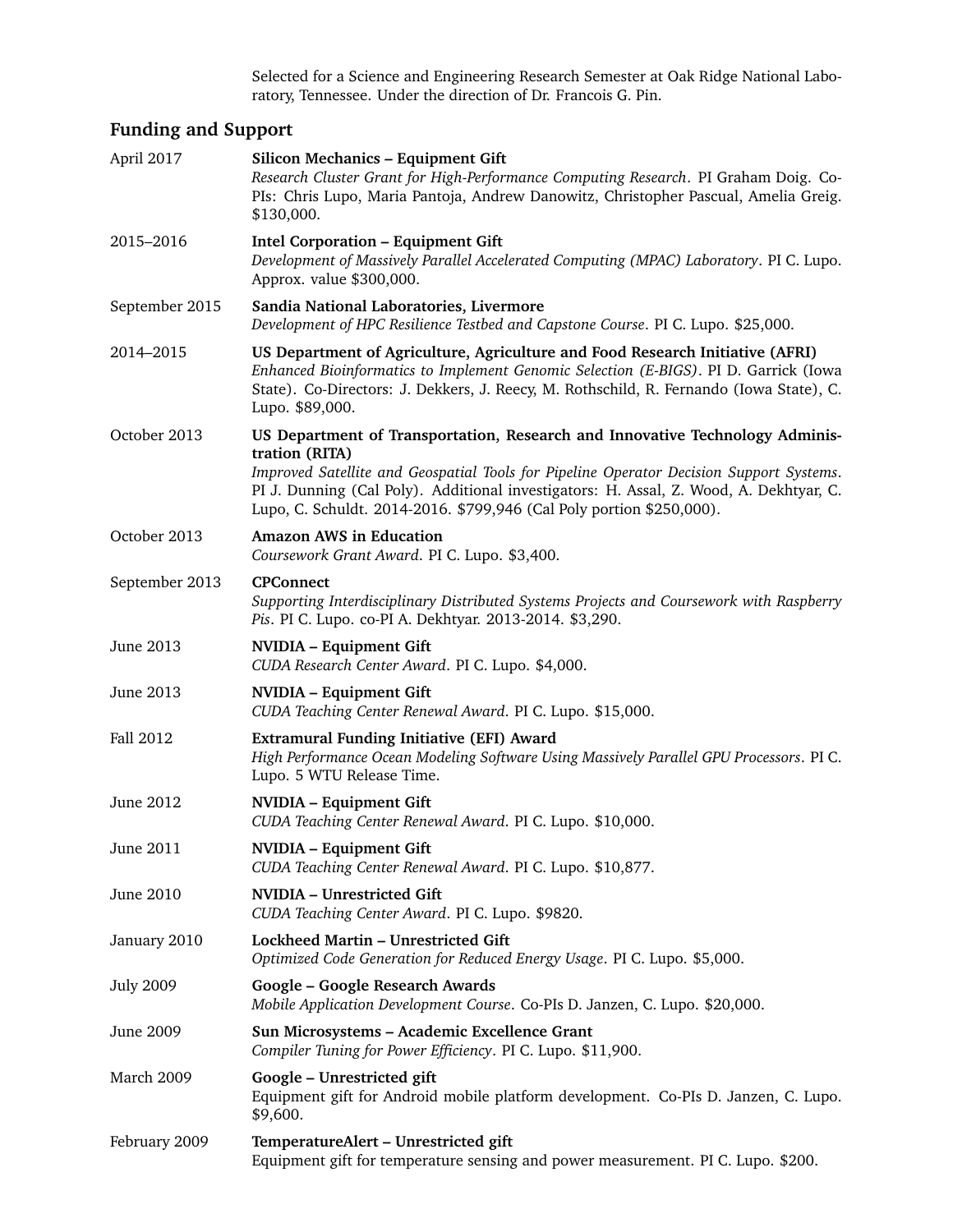Selected for a Science and Engineering Research Semester at Oak Ridge National Laboratory, Tennessee. Under the direction of Dr. Francois G. Pin.

# **Funding and Support**

| April 2017       | Silicon Mechanics - Equipment Gift<br>Research Cluster Grant for High-Performance Computing Research. PI Graham Doig. Co-<br>PIs: Chris Lupo, Maria Pantoja, Andrew Danowitz, Christopher Pascual, Amelia Greig.<br>\$130,000.                                                                                                                              |
|------------------|-------------------------------------------------------------------------------------------------------------------------------------------------------------------------------------------------------------------------------------------------------------------------------------------------------------------------------------------------------------|
| 2015-2016        | <b>Intel Corporation - Equipment Gift</b><br>Development of Massively Parallel Accelerated Computing (MPAC) Laboratory. PI C. Lupo.<br>Approx. value \$300,000.                                                                                                                                                                                             |
| September 2015   | Sandia National Laboratories, Livermore<br>Development of HPC Resilience Testbed and Capstone Course. PI C. Lupo. \$25,000.                                                                                                                                                                                                                                 |
| 2014-2015        | US Department of Agriculture, Agriculture and Food Research Initiative (AFRI)<br>Enhanced Bioinformatics to Implement Genomic Selection (E-BIGS). PI D. Garrick (Iowa<br>State). Co-Directors: J. Dekkers, J. Reecy, M. Rothschild, R. Fernando (Iowa State), C.<br>Lupo. \$89,000.                                                                         |
| October 2013     | US Department of Transportation, Research and Innovative Technology Adminis-<br>tration (RITA)<br>Improved Satellite and Geospatial Tools for Pipeline Operator Decision Support Systems.<br>PI J. Dunning (Cal Poly). Additional investigators: H. Assal, Z. Wood, A. Dekhtyar, C.<br>Lupo, C. Schuldt. 2014-2016. \$799,946 (Cal Poly portion \$250,000). |
| October 2013     | <b>Amazon AWS in Education</b><br>Coursework Grant Award. PI C. Lupo. \$3,400.                                                                                                                                                                                                                                                                              |
| September 2013   | <b>CPConnect</b><br>Supporting Interdisciplinary Distributed Systems Projects and Coursework with Raspberry<br>Pis. PI C. Lupo. co-PI A. Dekhtyar. 2013-2014. \$3,290.                                                                                                                                                                                      |
| June 2013        | <b>NVIDIA - Equipment Gift</b><br>CUDA Research Center Award. PI C. Lupo. \$4,000.                                                                                                                                                                                                                                                                          |
| June 2013        | <b>NVIDIA - Equipment Gift</b><br>CUDA Teaching Center Renewal Award. PI C. Lupo. \$15,000.                                                                                                                                                                                                                                                                 |
| Fall 2012        | <b>Extramural Funding Initiative (EFI) Award</b><br>High Performance Ocean Modeling Software Using Massively Parallel GPU Processors. PI C.<br>Lupo. 5 WTU Release Time.                                                                                                                                                                                    |
| June 2012        | <b>NVIDIA - Equipment Gift</b><br>CUDA Teaching Center Renewal Award. PI C. Lupo. \$10,000.                                                                                                                                                                                                                                                                 |
| June 2011        | <b>NVIDIA</b> - Equipment Gift<br>CUDA Teaching Center Renewal Award. PI C. Lupo. \$10,877.                                                                                                                                                                                                                                                                 |
| June 2010        | <b>NVIDIA - Unrestricted Gift</b><br>CUDA Teaching Center Award. PI C. Lupo. \$9820.                                                                                                                                                                                                                                                                        |
| January 2010     | Lockheed Martin - Unrestricted Gift<br>Optimized Code Generation for Reduced Energy Usage. PI C. Lupo. \$5,000.                                                                                                                                                                                                                                             |
| <b>July 2009</b> | Google - Google Research Awards<br>Mobile Application Development Course. Co-PIs D. Janzen, C. Lupo. \$20,000.                                                                                                                                                                                                                                              |
| June 2009        | Sun Microsystems - Academic Excellence Grant<br>Compiler Tuning for Power Efficiency. PI C. Lupo. \$11,900.                                                                                                                                                                                                                                                 |
| March 2009       | Google - Unrestricted gift<br>Equipment gift for Android mobile platform development. Co-PIs D. Janzen, C. Lupo.<br>\$9,600.                                                                                                                                                                                                                                |
| February 2009    | TemperatureAlert - Unrestricted gift<br>Equipment gift for temperature sensing and power measurement. PI C. Lupo. \$200.                                                                                                                                                                                                                                    |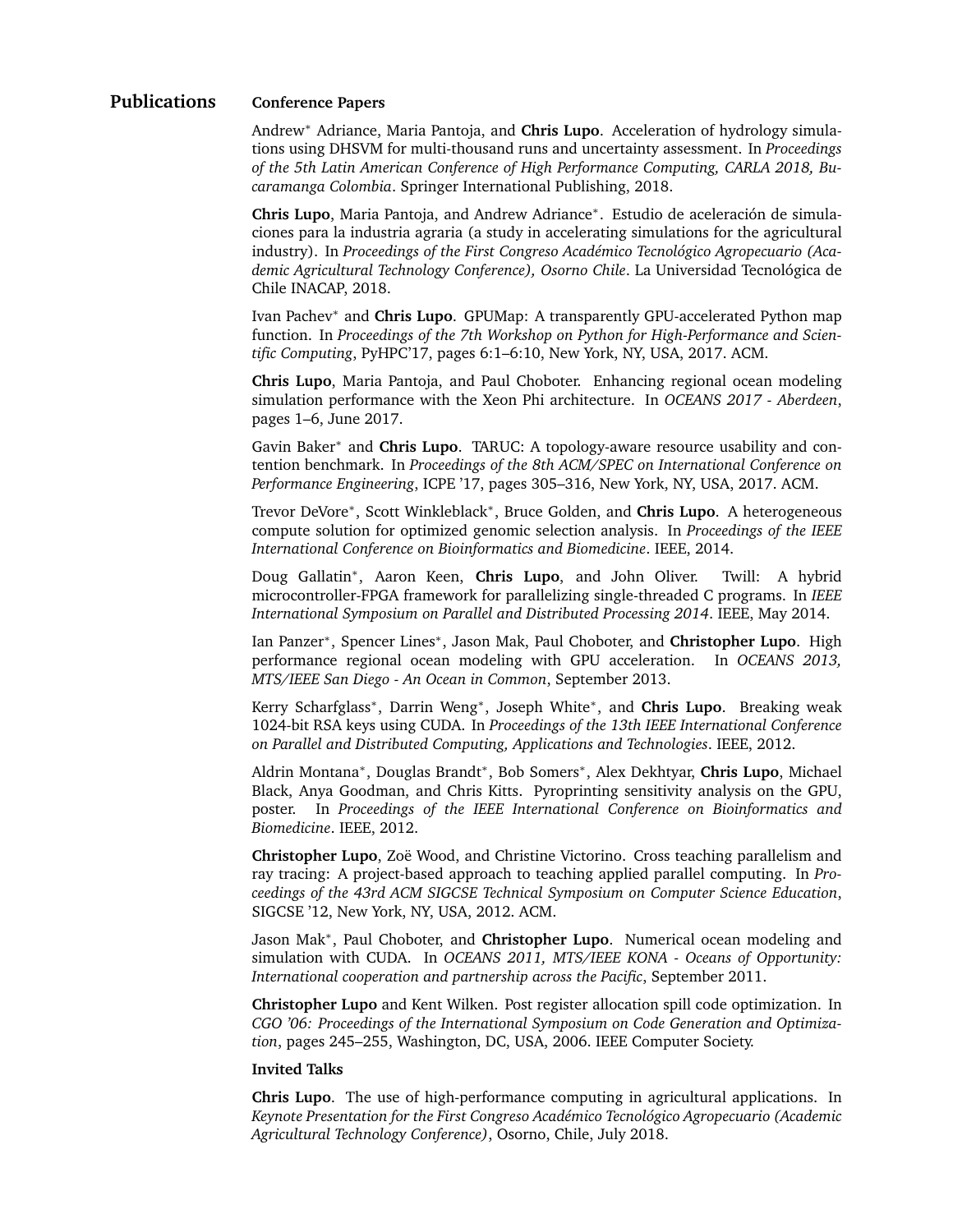## **Publications Conference Papers**

Andrew<sup>∗</sup> Adriance, Maria Pantoja, and **Chris Lupo**. Acceleration of hydrology simulations using DHSVM for multi-thousand runs and uncertainty assessment. In *Proceedings of the 5th Latin American Conference of High Performance Computing, CARLA 2018, Bucaramanga Colombia*. Springer International Publishing, 2018.

**Chris Lupo**, Maria Pantoja, and Andrew Adriance<sup>∗</sup> . Estudio de aceleracion de simula- ´ ciones para la industria agraria (a study in accelerating simulations for the agricultural industry). In *Proceedings of the First Congreso Acad´emico Tecnologico Agropecuario (Aca- ´ demic Agricultural Technology Conference), Osorno Chile*. La Universidad Tecnologica de ´ Chile INACAP, 2018.

Ivan Pachev<sup>∗</sup> and **Chris Lupo**. GPUMap: A transparently GPU-accelerated Python map function. In *Proceedings of the 7th Workshop on Python for High-Performance and Scientific Computing*, PyHPC'17, pages 6:1–6:10, New York, NY, USA, 2017. ACM.

**Chris Lupo**, Maria Pantoja, and Paul Choboter. Enhancing regional ocean modeling simulation performance with the Xeon Phi architecture. In *OCEANS 2017 - Aberdeen*, pages 1–6, June 2017.

Gavin Baker<sup>∗</sup> and **Chris Lupo**. TARUC: A topology-aware resource usability and contention benchmark. In *Proceedings of the 8th ACM/SPEC on International Conference on Performance Engineering*, ICPE '17, pages 305–316, New York, NY, USA, 2017. ACM.

Trevor DeVore<sup>\*</sup>, Scott Winkleblack<sup>\*</sup>, Bruce Golden, and Chris Lupo. A heterogeneous compute solution for optimized genomic selection analysis. In *Proceedings of the IEEE International Conference on Bioinformatics and Biomedicine*. IEEE, 2014.

Doug Gallatin<sup>∗</sup> , Aaron Keen, **Chris Lupo**, and John Oliver. Twill: A hybrid microcontroller-FPGA framework for parallelizing single-threaded C programs. In *IEEE International Symposium on Parallel and Distributed Processing 2014*. IEEE, May 2014.

Ian Panzer<sup>∗</sup>, Spencer Lines<sup>∗</sup>, Jason Mak, Paul Choboter, and **Christopher Lupo**. High performance regional ocean modeling with GPU acceleration. In *OCEANS 2013, MTS/IEEE San Diego - An Ocean in Common*, September 2013.

Kerry Scharfglass<sup>∗</sup> , Darrin Weng<sup>∗</sup> , Joseph White<sup>∗</sup> , and **Chris Lupo**. Breaking weak 1024-bit RSA keys using CUDA. In *Proceedings of the 13th IEEE International Conference on Parallel and Distributed Computing, Applications and Technologies*. IEEE, 2012.

Aldrin Montana<sup>∗</sup> , Douglas Brandt<sup>∗</sup> , Bob Somers<sup>∗</sup> , Alex Dekhtyar, **Chris Lupo**, Michael Black, Anya Goodman, and Chris Kitts. Pyroprinting sensitivity analysis on the GPU, poster. In *Proceedings of the IEEE International Conference on Bioinformatics and Biomedicine*. IEEE, 2012.

**Christopher Lupo**, Zoë Wood, and Christine Victorino. Cross teaching parallelism and ray tracing: A project-based approach to teaching applied parallel computing. In *Proceedings of the 43rd ACM SIGCSE Technical Symposium on Computer Science Education*, SIGCSE '12, New York, NY, USA, 2012. ACM.

Jason Mak<sup>∗</sup> , Paul Choboter, and **Christopher Lupo**. Numerical ocean modeling and simulation with CUDA. In *OCEANS 2011, MTS/IEEE KONA - Oceans of Opportunity: International cooperation and partnership across the Pacific*, September 2011.

**Christopher Lupo** and Kent Wilken. Post register allocation spill code optimization. In *CGO '06: Proceedings of the International Symposium on Code Generation and Optimization*, pages 245–255, Washington, DC, USA, 2006. IEEE Computer Society.

#### **Invited Talks**

**Chris Lupo**. The use of high-performance computing in agricultural applications. In *Keynote Presentation for the First Congreso Acad´emico Tecnologico Agropecuario (Academic ´ Agricultural Technology Conference)*, Osorno, Chile, July 2018.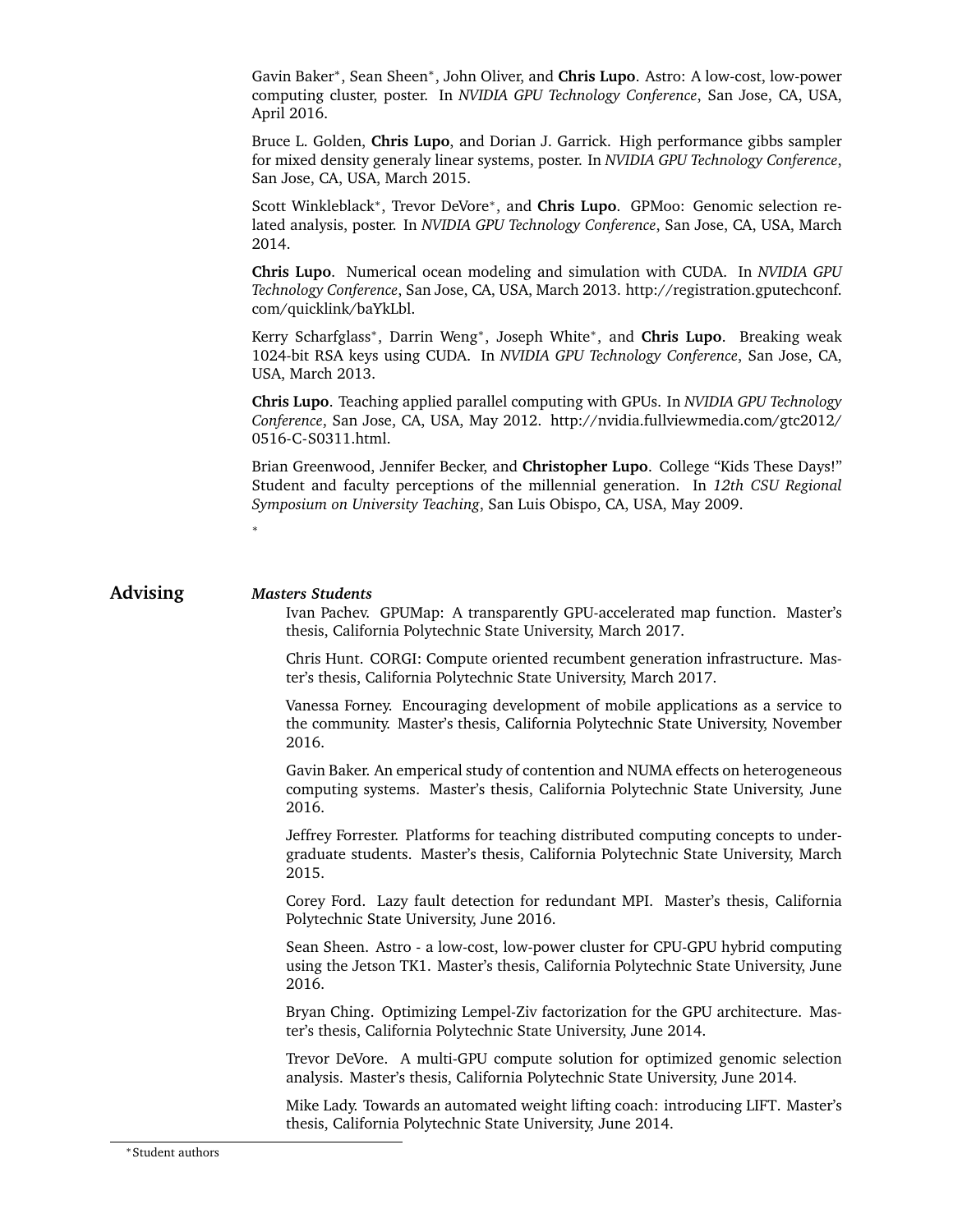Gavin Baker<sup>∗</sup> , Sean Sheen<sup>∗</sup> , John Oliver, and **Chris Lupo**. Astro: A low-cost, low-power computing cluster, poster. In *NVIDIA GPU Technology Conference*, San Jose, CA, USA, April 2016.

Bruce L. Golden, **Chris Lupo**, and Dorian J. Garrick. High performance gibbs sampler for mixed density generaly linear systems, poster. In *NVIDIA GPU Technology Conference*, San Jose, CA, USA, March 2015.

Scott Winkleblack<sup>\*</sup>, Trevor DeVore<sup>\*</sup>, and Chris Lupo. GPMoo: Genomic selection related analysis, poster. In *NVIDIA GPU Technology Conference*, San Jose, CA, USA, March 2014.

**Chris Lupo**. Numerical ocean modeling and simulation with CUDA. In *NVIDIA GPU Technology Conference*, San Jose, CA, USA, March 2013. http://registration.gputechconf. com/quicklink/baYkLbl.

Kerry Scharfglass<sup>∗</sup> , Darrin Weng<sup>∗</sup> , Joseph White<sup>∗</sup> , and **Chris Lupo**. Breaking weak 1024-bit RSA keys using CUDA. In *NVIDIA GPU Technology Conference*, San Jose, CA, USA, March 2013.

**Chris Lupo**. Teaching applied parallel computing with GPUs. In *NVIDIA GPU Technology Conference*, San Jose, CA, USA, May 2012. http://nvidia.fullviewmedia.com/gtc2012/ 0516-C-S0311.html.

Brian Greenwood, Jennifer Becker, and **Christopher Lupo**. College "Kids These Days!" Student and faculty perceptions of the millennial generation. In *12th CSU Regional Symposium on University Teaching*, San Luis Obispo, CA, USA, May 2009.

## **Advising** *Masters Students*

∗

Ivan Pachev. GPUMap: A transparently GPU-accelerated map function. Master's thesis, California Polytechnic State University, March 2017.

Chris Hunt. CORGI: Compute oriented recumbent generation infrastructure. Master's thesis, California Polytechnic State University, March 2017.

Vanessa Forney. Encouraging development of mobile applications as a service to the community. Master's thesis, California Polytechnic State University, November 2016.

Gavin Baker. An emperical study of contention and NUMA effects on heterogeneous computing systems. Master's thesis, California Polytechnic State University, June 2016.

Jeffrey Forrester. Platforms for teaching distributed computing concepts to undergraduate students. Master's thesis, California Polytechnic State University, March 2015.

Corey Ford. Lazy fault detection for redundant MPI. Master's thesis, California Polytechnic State University, June 2016.

Sean Sheen. Astro - a low-cost, low-power cluster for CPU-GPU hybrid computing using the Jetson TK1. Master's thesis, California Polytechnic State University, June 2016.

Bryan Ching. Optimizing Lempel-Ziv factorization for the GPU architecture. Master's thesis, California Polytechnic State University, June 2014.

Trevor DeVore. A multi-GPU compute solution for optimized genomic selection analysis. Master's thesis, California Polytechnic State University, June 2014.

Mike Lady. Towards an automated weight lifting coach: introducing LIFT. Master's thesis, California Polytechnic State University, June 2014.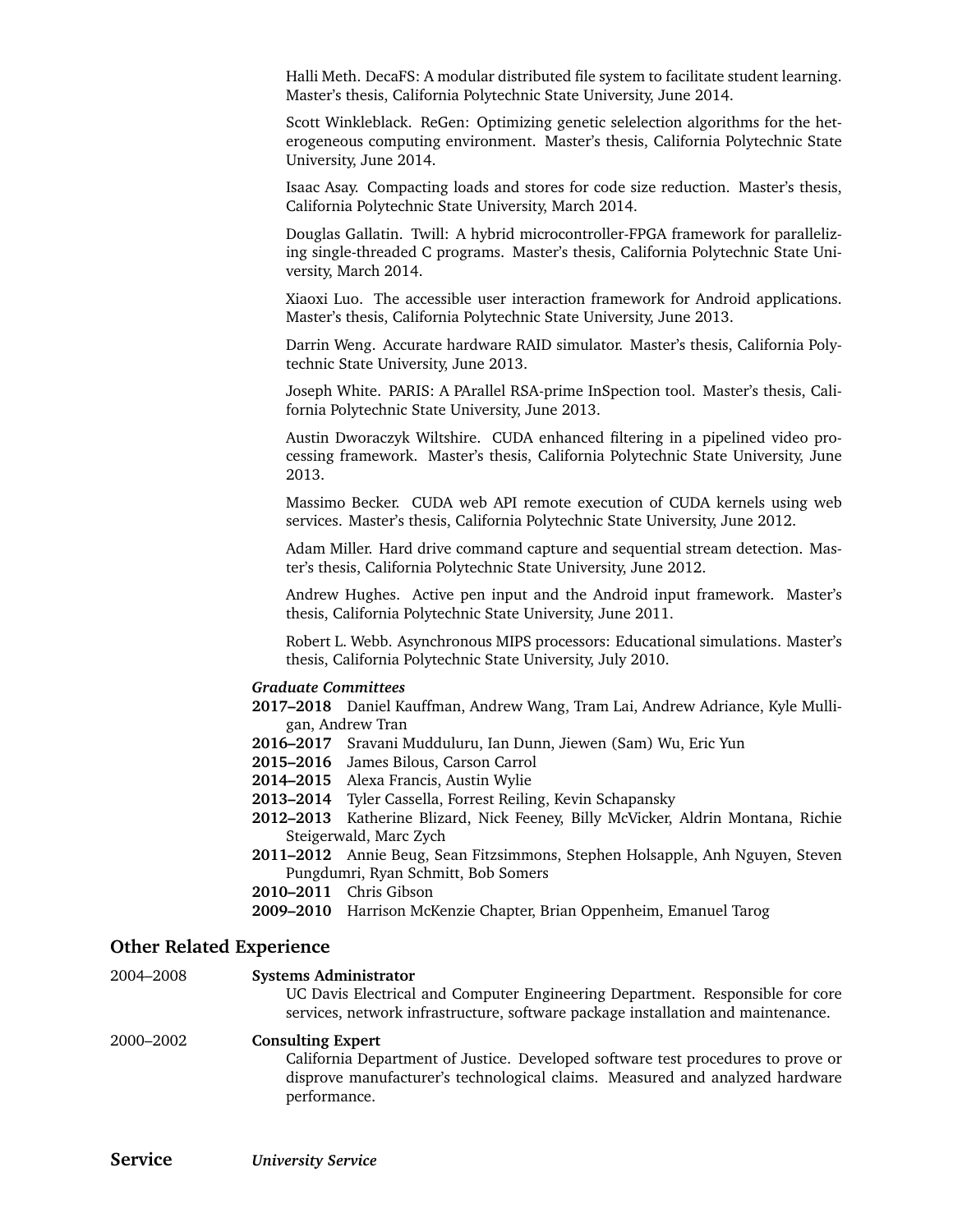Halli Meth. DecaFS: A modular distributed file system to facilitate student learning. Master's thesis, California Polytechnic State University, June 2014.

Scott Winkleblack. ReGen: Optimizing genetic selelection algorithms for the heterogeneous computing environment. Master's thesis, California Polytechnic State University, June 2014.

Isaac Asay. Compacting loads and stores for code size reduction. Master's thesis, California Polytechnic State University, March 2014.

Douglas Gallatin. Twill: A hybrid microcontroller-FPGA framework for parallelizing single-threaded C programs. Master's thesis, California Polytechnic State University, March 2014.

Xiaoxi Luo. The accessible user interaction framework for Android applications. Master's thesis, California Polytechnic State University, June 2013.

Darrin Weng. Accurate hardware RAID simulator. Master's thesis, California Polytechnic State University, June 2013.

Joseph White. PARIS: A PArallel RSA-prime InSpection tool. Master's thesis, California Polytechnic State University, June 2013.

Austin Dworaczyk Wiltshire. CUDA enhanced filtering in a pipelined video processing framework. Master's thesis, California Polytechnic State University, June 2013.

Massimo Becker. CUDA web API remote execution of CUDA kernels using web services. Master's thesis, California Polytechnic State University, June 2012.

Adam Miller. Hard drive command capture and sequential stream detection. Master's thesis, California Polytechnic State University, June 2012.

Andrew Hughes. Active pen input and the Android input framework. Master's thesis, California Polytechnic State University, June 2011.

Robert L. Webb. Asynchronous MIPS processors: Educational simulations. Master's thesis, California Polytechnic State University, July 2010.

#### *Graduate Committees*

**2017–2018** Daniel Kauffman, Andrew Wang, Tram Lai, Andrew Adriance, Kyle Mulligan, Andrew Tran

- **2016–2017** Sravani Mudduluru, Ian Dunn, Jiewen (Sam) Wu, Eric Yun
- **2015–2016** James Bilous, Carson Carrol
- **2014–2015** Alexa Francis, Austin Wylie
- **2013–2014** Tyler Cassella, Forrest Reiling, Kevin Schapansky
- **2012–2013** Katherine Blizard, Nick Feeney, Billy McVicker, Aldrin Montana, Richie Steigerwald, Marc Zych
- **2011–2012** Annie Beug, Sean Fitzsimmons, Stephen Holsapple, Anh Nguyen, Steven Pungdumri, Ryan Schmitt, Bob Somers

**2010–2011** Chris Gibson

#### **Other Related Experience**

| 2004-2008 | <b>Systems Administrator</b><br>UC Davis Electrical and Computer Engineering Department. Responsible for core<br>services, network infrastructure, software package installation and maintenance.            |
|-----------|--------------------------------------------------------------------------------------------------------------------------------------------------------------------------------------------------------------|
| 2000-2002 | <b>Consulting Expert</b><br>California Department of Justice. Developed software test procedures to prove or<br>disprove manufacturer's technological claims. Measured and analyzed hardware<br>performance. |

**<sup>2009–2010</sup>** Harrison McKenzie Chapter, Brian Oppenheim, Emanuel Tarog